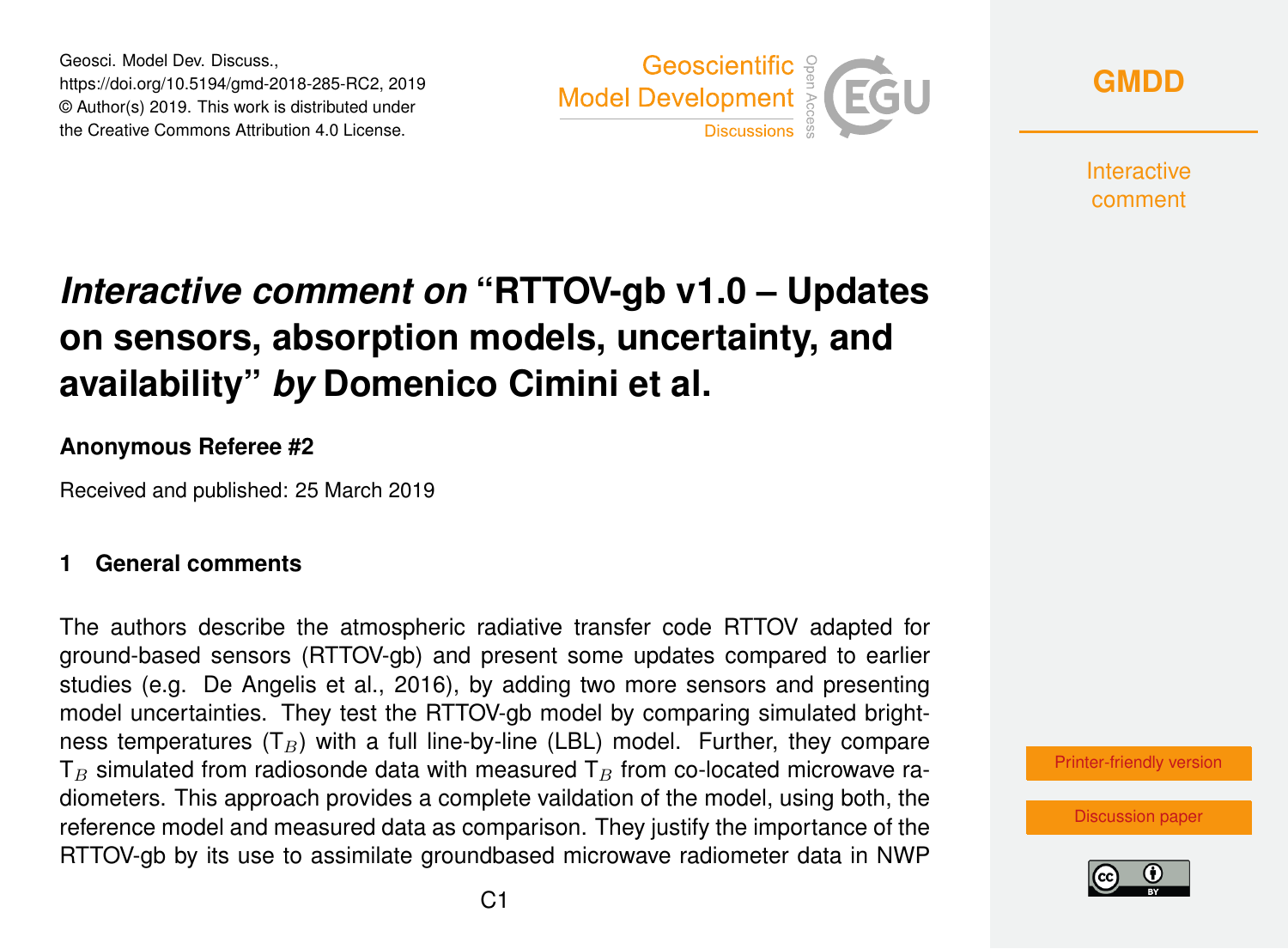Geosci. Model Dev. Discuss., https://doi.org/10.5194/gmd-2018-285-RC2, 2019 © Author(s) 2019. This work is distributed under the Creative Commons Attribution 4.0 License.



**[GMDD](https://www.geosci-model-dev-discuss.net/)**

**Interactive** comment

# *Interactive comment on* **"RTTOV-gb v1.0 – Updates on sensors, absorption models, uncertainty, and availability"** *by* **Domenico Cimini et al.**

### **Anonymous Referee #2**

Received and published: 25 March 2019

#### **1 General comments**

The authors describe the atmospheric radiative transfer code RTTOV adapted for ground-based sensors (RTTOV-gb) and present some updates compared to earlier studies (e.g. De Angelis et al., 2016), by adding two more sensors and presenting model uncertainties. They test the RTTOV-gb model by comparing simulated brightness temperatures  $(T_B)$  with a full line-by-line (LBL) model. Further, they compare  $T_B$  simulated from radiosonde data with measured  $T_B$  from co-located microwave radiometers. This approach provides a complete vaildation of the model, using both, the reference model and measured data as comparison. They justify the importance of the RTTOV-gb by its use to assimilate groundbased microwave radiometer data in NWP

[Printer-friendly version](https://www.geosci-model-dev-discuss.net/gmd-2018-285/gmd-2018-285-RC2-print.pdf)

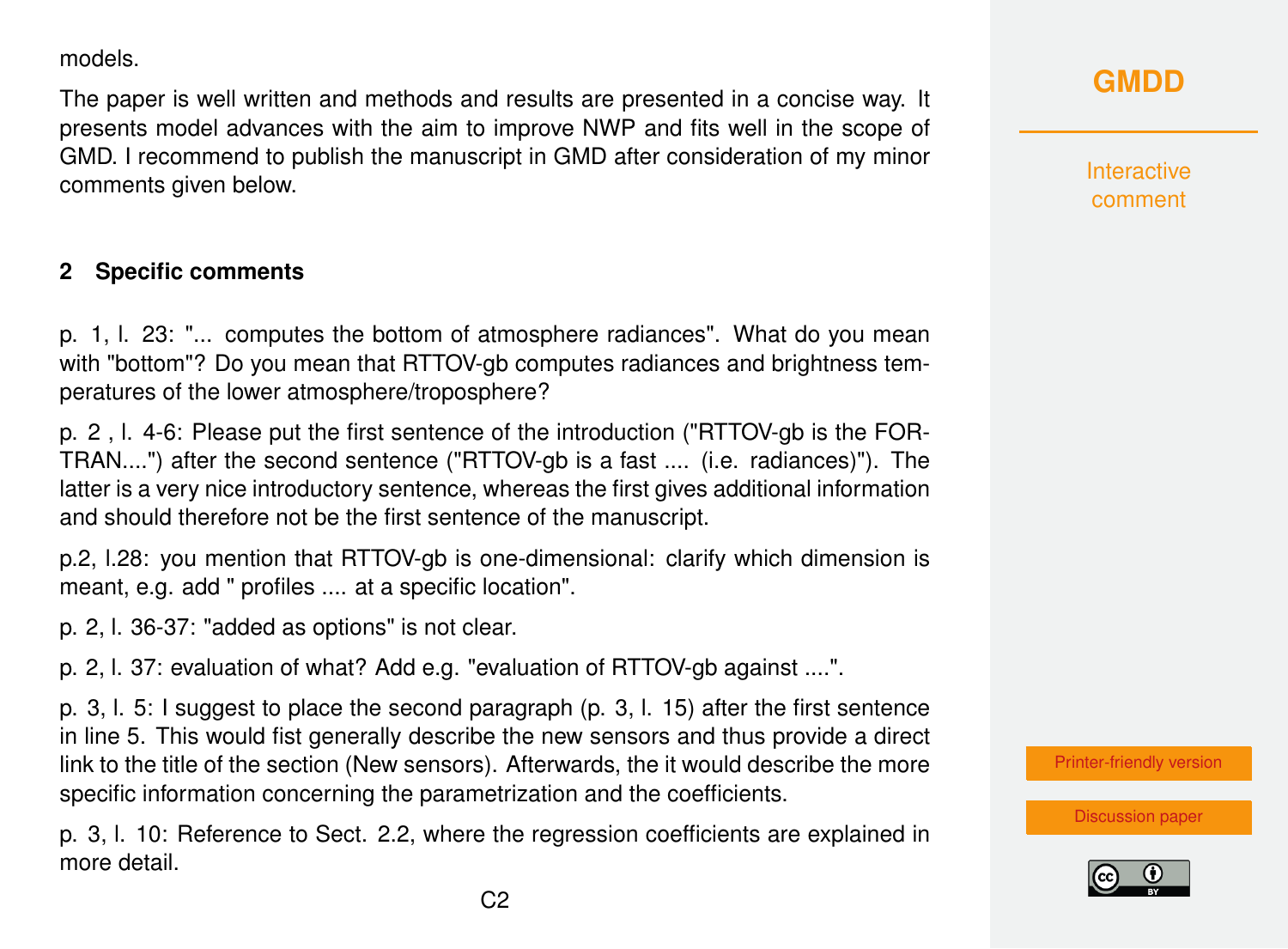models.

The paper is well written and methods and results are presented in a concise way. It presents model advances with the aim to improve NWP and fits well in the scope of GMD. I recommend to publish the manuscript in GMD after consideration of my minor comments given below.

### **2 Specific comments**

p. 1, l. 23: "... computes the bottom of atmosphere radiances". What do you mean with "bottom"? Do you mean that RTTOV-gb computes radiances and brightness temperatures of the lower atmosphere/troposphere?

p. 2 , l. 4-6: Please put the first sentence of the introduction ("RTTOV-gb is the FOR-TRAN....") after the second sentence ("RTTOV-gb is a fast .... (i.e. radiances)"). The latter is a very nice introductory sentence, whereas the first gives additional information and should therefore not be the first sentence of the manuscript.

p.2, l.28: you mention that RTTOV-gb is one-dimensional: clarify which dimension is meant, e.g. add " profiles .... at a specific location".

p. 2, l. 36-37: "added as options" is not clear.

p. 2, l. 37: evaluation of what? Add e.g. "evaluation of RTTOV-gb against ....".

p. 3, l. 5: I suggest to place the second paragraph (p. 3, l. 15) after the first sentence in line 5. This would fist generally describe the new sensors and thus provide a direct link to the title of the section (New sensors). Afterwards, the it would describe the more specific information concerning the parametrization and the coefficients.

p. 3, l. 10: Reference to Sect. 2.2, where the regression coefficients are explained in more detail.

### **[GMDD](https://www.geosci-model-dev-discuss.net/)**

Interactive comment

[Printer-friendly version](https://www.geosci-model-dev-discuss.net/gmd-2018-285/gmd-2018-285-RC2-print.pdf)

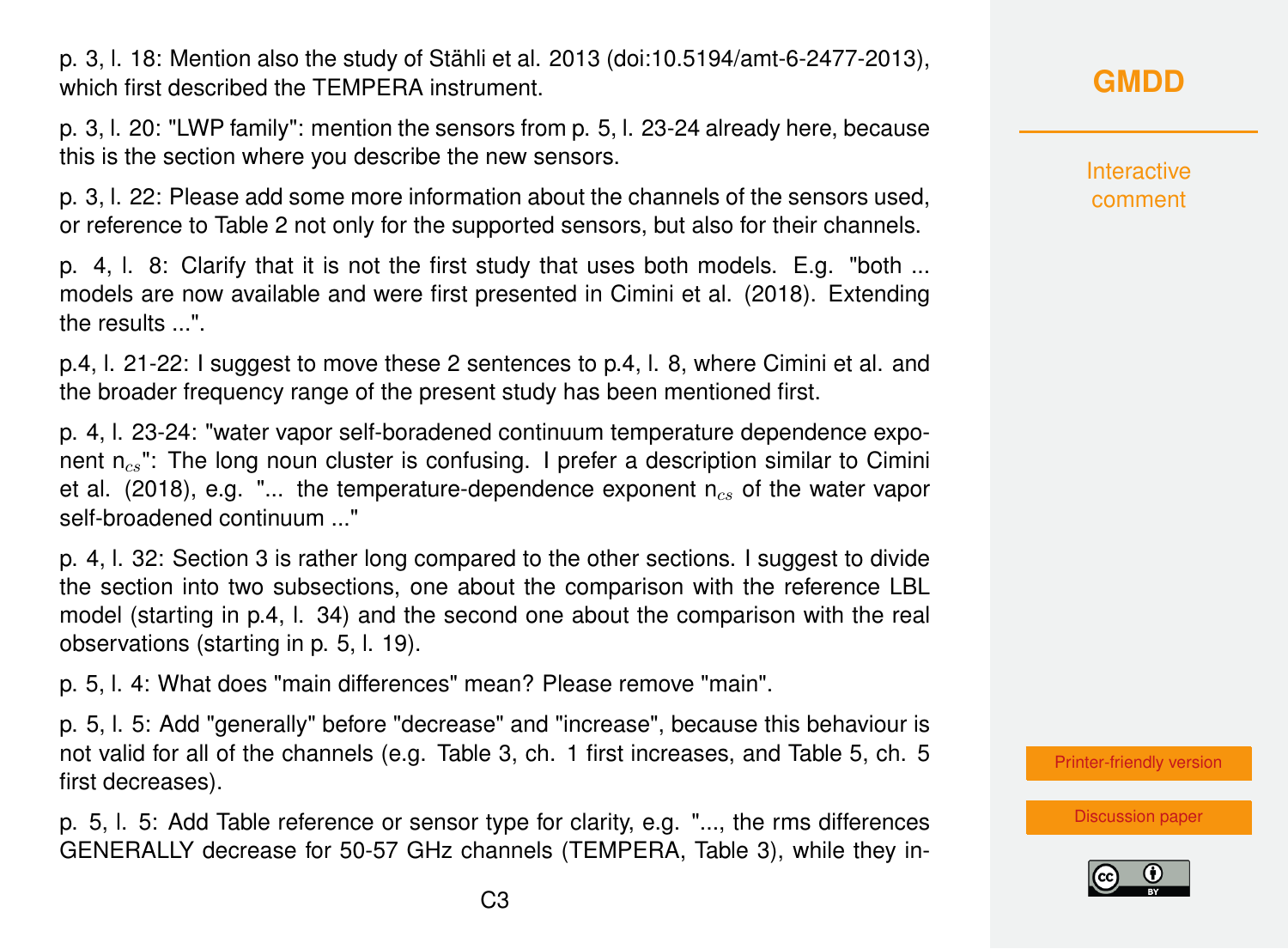p. 3, l. 18: Mention also the study of Stähli et al. 2013 (doi:10.5194/amt-6-2477-2013), which first described the TEMPERA instrument.

p. 3, l. 20: "LWP family": mention the sensors from p. 5, l. 23-24 already here, because this is the section where you describe the new sensors.

p. 3, l. 22: Please add some more information about the channels of the sensors used, or reference to Table 2 not only for the supported sensors, but also for their channels.

p. 4, l. 8: Clarify that it is not the first study that uses both models. E.g. "both ... models are now available and were first presented in Cimini et al. (2018). Extending the results ...".

p.4, l. 21-22: I suggest to move these 2 sentences to p.4, l. 8, where Cimini et al. and the broader frequency range of the present study has been mentioned first.

p. 4, l. 23-24: "water vapor self-boradened continuum temperature dependence exponent  $n_{cs}$ ": The long noun cluster is confusing. I prefer a description similar to Cimini et al. (2018), e.g. "... the temperature-dependence exponent  $n_{cs}$  of the water vapor self-broadened continuum ..."

p. 4, l. 32: Section 3 is rather long compared to the other sections. I suggest to divide the section into two subsections, one about the comparison with the reference LBL model (starting in p.4, l. 34) and the second one about the comparison with the real observations (starting in p. 5, l. 19).

p. 5, l. 4: What does "main differences" mean? Please remove "main".

p. 5, l. 5: Add "generally" before "decrease" and "increase", because this behaviour is not valid for all of the channels (e.g. Table 3, ch. 1 first increases, and Table 5, ch. 5 first decreases).

p. 5, l. 5: Add Table reference or sensor type for clarity, e.g. "..., the rms differences GENERALLY decrease for 50-57 GHz channels (TEMPERA, Table 3), while they in**Interactive** comment

[Printer-friendly version](https://www.geosci-model-dev-discuss.net/gmd-2018-285/gmd-2018-285-RC2-print.pdf)

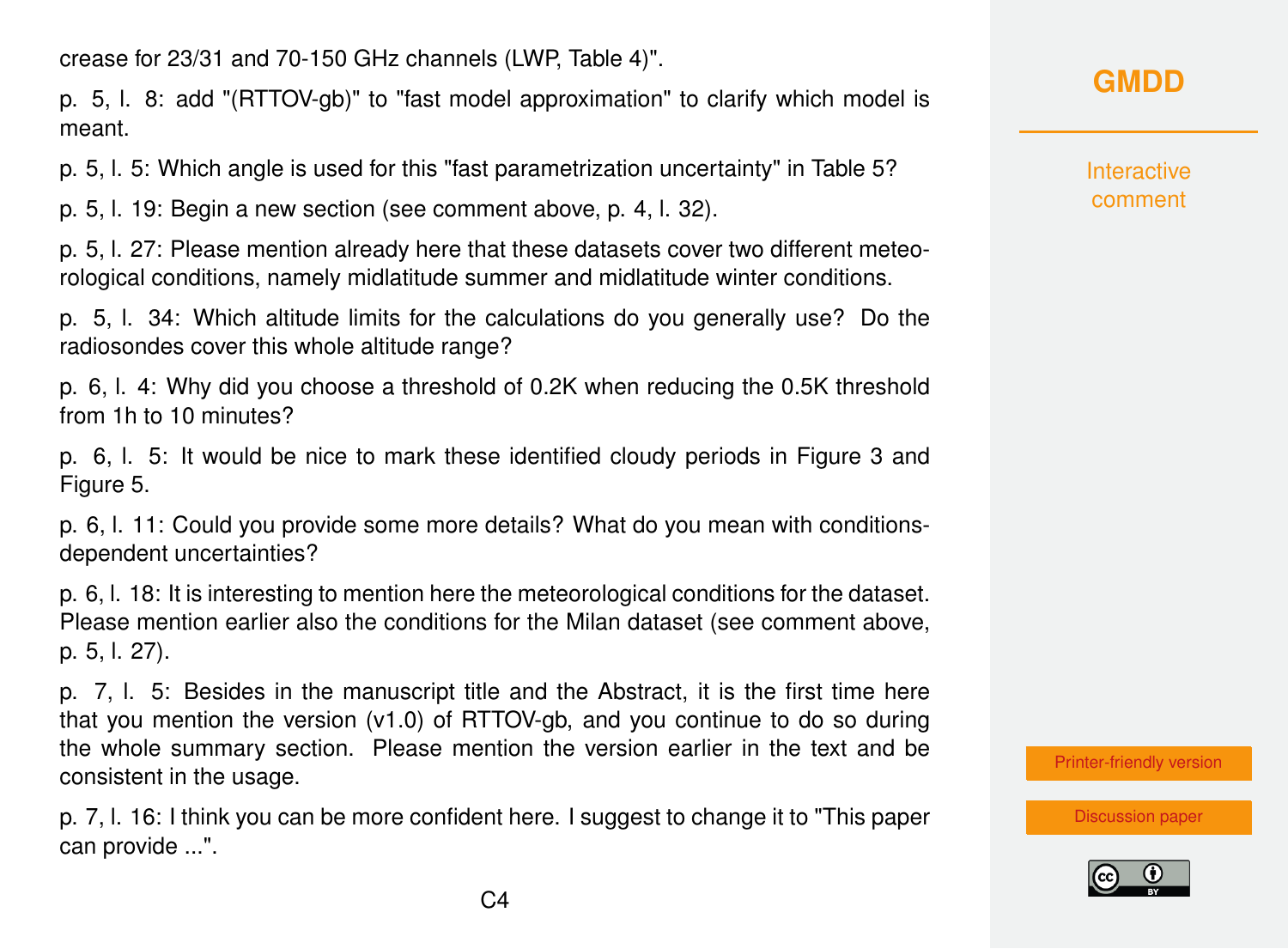crease for 23/31 and 70-150 GHz channels (LWP, Table 4)".

p. 5, l. 8: add "(RTTOV-gb)" to "fast model approximation" to clarify which model is meant.

p. 5, l. 5: Which angle is used for this "fast parametrization uncertainty" in Table 5?

p. 5, l. 19: Begin a new section (see comment above, p. 4, l. 32).

p. 5, l. 27: Please mention already here that these datasets cover two different meteorological conditions, namely midlatitude summer and midlatitude winter conditions.

p. 5, l. 34: Which altitude limits for the calculations do you generally use? Do the radiosondes cover this whole altitude range?

p. 6, l. 4: Why did you choose a threshold of 0.2K when reducing the 0.5K threshold from 1h to 10 minutes?

p. 6, l. 5: It would be nice to mark these identified cloudy periods in Figure 3 and Figure 5.

p. 6, l. 11: Could you provide some more details? What do you mean with conditionsdependent uncertainties?

p. 6, l. 18: It is interesting to mention here the meteorological conditions for the dataset. Please mention earlier also the conditions for the Milan dataset (see comment above, p. 5, l. 27).

p. 7, l. 5: Besides in the manuscript title and the Abstract, it is the first time here that you mention the version (v1.0) of RTTOV-gb, and you continue to do so during the whole summary section. Please mention the version earlier in the text and be consistent in the usage.

p. 7, l. 16: I think you can be more confident here. I suggest to change it to "This paper can provide ...".

### **[GMDD](https://www.geosci-model-dev-discuss.net/)**

Interactive comment

[Printer-friendly version](https://www.geosci-model-dev-discuss.net/gmd-2018-285/gmd-2018-285-RC2-print.pdf)

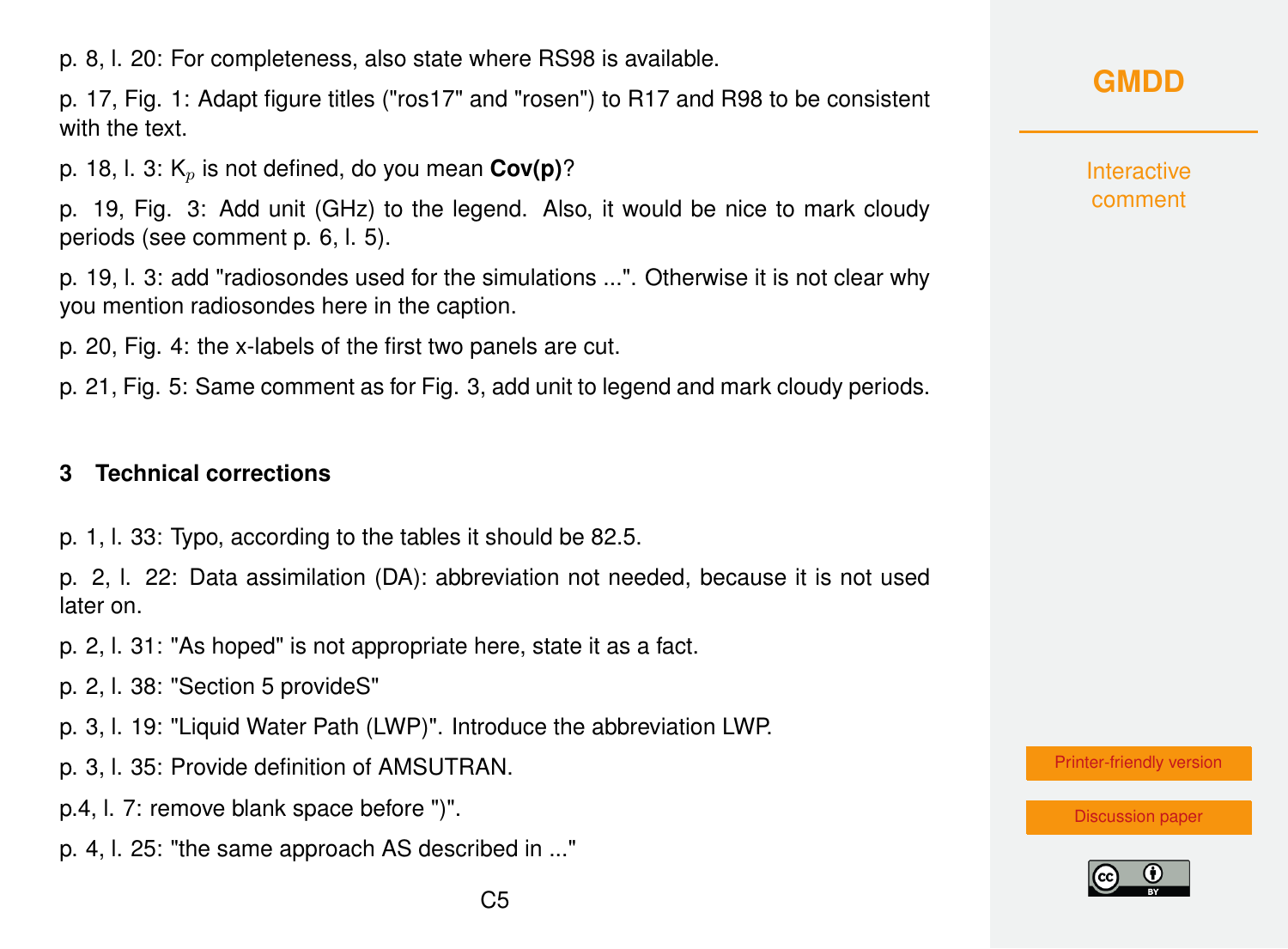p. 8, l. 20: For completeness, also state where RS98 is available.

p. 17, Fig. 1: Adapt figure titles ("ros17" and "rosen") to R17 and R98 to be consistent with the text.

p. 18, l. 3:  $K_n$  is not defined, do you mean  $Cov(p)$ ?

p. 19, Fig. 3: Add unit (GHz) to the legend. Also, it would be nice to mark cloudy periods (see comment p. 6, l. 5).

p. 19, l. 3: add "radiosondes used for the simulations ...". Otherwise it is not clear why you mention radiosondes here in the caption.

p. 20, Fig. 4: the x-labels of the first two panels are cut.

p. 21, Fig. 5: Same comment as for Fig. 3, add unit to legend and mark cloudy periods.

#### **3 Technical corrections**

p. 1, l. 33: Typo, according to the tables it should be 82.5.

p. 2, l. 22: Data assimilation (DA): abbreviation not needed, because it is not used later on.

p. 2, l. 31: "As hoped" is not appropriate here, state it as a fact.

p. 2, l. 38: "Section 5 provideS"

- p. 3, l. 19: "Liquid Water Path (LWP)". Introduce the abbreviation LWP.
- p. 3, l. 35: Provide definition of AMSUTRAN.
- p.4, l. 7: remove blank space before ")".
- p. 4, l. 25: "the same approach AS described in ..."

# **[GMDD](https://www.geosci-model-dev-discuss.net/)**

**Interactive** comment

[Printer-friendly version](https://www.geosci-model-dev-discuss.net/gmd-2018-285/gmd-2018-285-RC2-print.pdf)